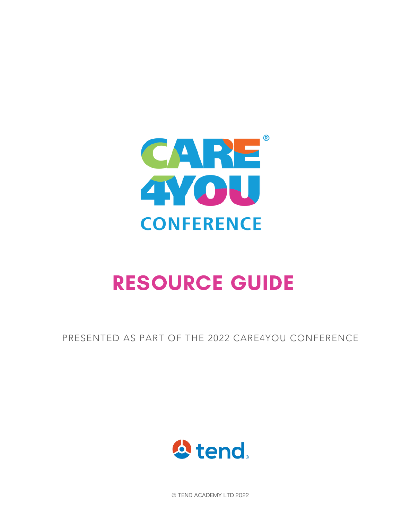

PRESENTED AS PART OF THE 2022 CARE4YOU CONFERENCE



© TEND ACADEMY LTD 2022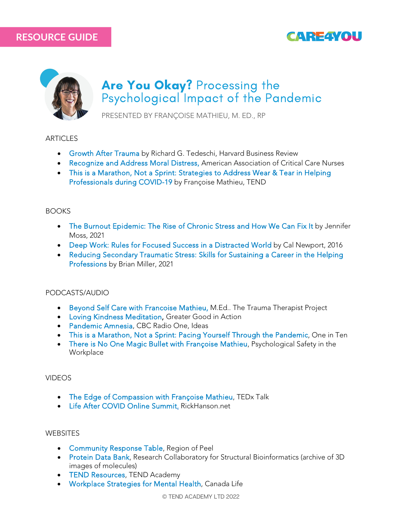# **CAREAVOL**



# Are You Okay? Processing the Psychological Impact of the Pandemic

PRESENTED BY FRANÇOISE MATHIEU, M. ED., RP

**ARTICLES** 

- Growth After Trauma [by Richard G. Tedeschi, Harvard Business Review](https://hbr.org/2020/07/growth-after-trauma)
- Recognize and Address Moral Distress, [American Association of Critical Care Nurses](https://www.aacn.org/~/media/aacn-website/clincial-resources/moral-distress/recognizing-addressing-moral-distress-quick-reference-guide.pdf)
- [This is a Marathon, Not a Sprint: Strategies to Address Wear & Tear in Helping](https://www.tendacademy.ca/marathon-not-sprint-covid19/) [Professionals during COVID-19](https://www.tendacademy.ca/marathon-not-sprint-covid19/) by Françoise Mathieu, TEND

#### BOOKS

- [The Burnout Epidemic: The Rise of Chronic Stress and How We Can Fix It](https://www.jennifer-moss.com/books) by Jennifer Moss, 2021
- [Deep Work: Rules for Focused Success in a Distracted World](https://www.calnewport.com/books/deep-work/) by Cal Newport, 2016
- [Reducing Secondary Traumatic Stress: Skills for Sustaining a Career in the Helping](https://www.routledge.com/Reducing-Secondary-Traumatic-Stress-Skills-for-Sustaining-a-Career-in-the/Miller/p/book/9780367494575) [Professions](https://www.routledge.com/Reducing-Secondary-Traumatic-Stress-Skills-for-Sustaining-a-Career-in-the/Miller/p/book/9780367494575) by Brian Miller, 2021

#### PODCASTS/AUDIO

- [Beyond Self Care with Francoise Mathieu,](https://www.thetraumatherapistproject.com/podcast/beyond-self-care-with-francoise-mathiue-med) M.Ed.. The Trauma Therapist Project
- [Loving Kindness Meditation,](https://ggia.berkeley.edu/practice/loving_kindness_meditation) Greater Good in Action
- [Pandemic Amnesia,](https://podcasts.apple.com/ca/podcast/pandemic-amnesia/id151485663?i=1000541647580) CBC Radio One, Ideas
- [This is a Marathon, Not a Sprint: Pacing Yourself Through the Pandemic,](https://www.buzzsprout.com/280046/3463774-this-is-a-marathon-not-a-sprint-pacing-yourself-through-the-pandemic) One in Ten
- [There is No One Magic Bullet with Françoise Mathieu,](https://www.psychhealthandsafetycanada.com/episodes/there-is-no-one-magic-bullet) Psychological Safety in the **Workplace**

#### VIDEOS

- [The Edge of Compassion with Françoise Mathieu, T](https://www.ted.com/talks/francoise_mathieu_the_edge_of_compassion)EDx Talk
- [Life After COVID Online Summit,](https://www.rickhanson.net/life-after-covid-free-online-summit/) RickHanson.net

#### **WEBSITES**

- [Community Response Table,](https://www.peelregion.ca/coronavirus/community-response-table) Region of Peel
- [Protein Data Bank,](https://pdb101.rcsb.org/) Research Collaboratory for Structural Bioinformatics (archive of 3D images of molecules)
- [TEND Resources, T](https://www.tendacademy.ca/resources/)END Academy
- [Workplace Strategies for Mental Health,](https://www.workplacestrategiesformentalhealth.com/) Canada Life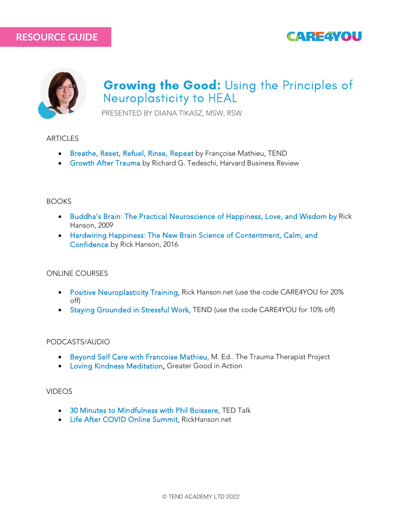



# Growing the Good: Using the Principles of Neuroplasticity to HEAL

PRESENTED BY DIANA TIKASZ, MSW, RSW

#### **ARTICLES**

- [Breathe, Reset, Refuel, Rinse, Repeat](https://www.tendacademy.ca/breathe-reset-refuel/) by Françoise Mathieu, TEND
- [Growth After Trauma](https://hbr.org/2020/07/growth-after-trauma) by Richard G. Tedeschi, Harvard Business Review

#### **BOOKS**

- [Buddha's Brain: The Practical Neuroscience of Happiness, Love, and Wisdom](https://www.rickhanson.net/books/buddhas-brain/) by Rick Hanson, 2009
- [Hardwiring Happiness: The New Brain Science of Contentment, Calm, and](https://www.rickhanson.net/books/hardwiring-happiness/) [Confidence](https://www.rickhanson.net/books/hardwiring-happiness/) by Rick Hanson, 2016

#### ONLINE COURSES

- [Positive Neuroplasticity Training,](https://courses.rickhanson.net/courses/the-positive-neuroplasticity-training) Rick Hanson.net (use the code CARE4YOU for 20% off)
- [Staying Grounded in Stressful Work,](https://www.tendacademy.ca/product/staying-grounded-in-stressful-work-online-course/) TEND (use the code CARE4YOU for 10% off)

#### PODCASTS/AUDIO

- [Beyond Self Care with Francoise Mathieu,](https://www.thetraumatherapistproject.com/podcast/beyond-self-care-with-francoise-mathiue-med) M. Ed.. The Trauma Therapist Project
- [Loving Kindness Meditation,](https://ggia.berkeley.edu/practice/loving_kindness_meditation) Greater Good in Action

#### VIDEOS

- [30 Minutes to Mindfulness with Phil Boissere,](https://www.youtube.com/watch?v=ad7HqXEc2Sc) TED Talk
- [Life After COVID Online Summit,](https://www.rickhanson.net/life-after-covid-free-online-summit/) RickHanson.net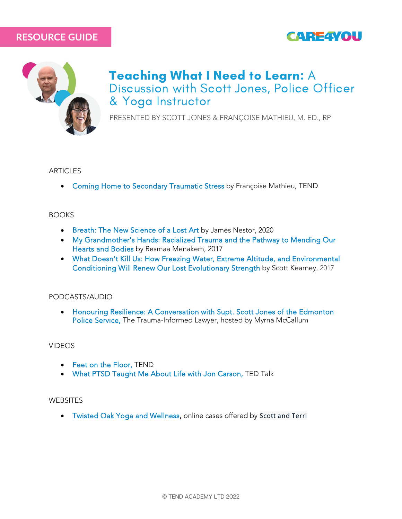



# Teaching What I Need to Learn: A Discussion with Scott Jones, Police Officer & Yoga Instructor

PRESENTED BY SCOTT JONES & FRANÇOISE MATHIEU, M. ED., RP

#### **ARTICLES**

• [Coming Home to Secondary Traumatic Stress](https://www.tendacademy.ca/coming-home-to-sts/) by Françoise Mathieu, TEND

#### **BOOKS**

- [Breath: The New Science of a Lost Art](https://www.mrjamesnestor.com/) by James Nestor, 2020
- [My Grandmother's Hands: Racialized Trauma and the Pathway to Mending Our](https://www.resmaa.com/merch) [Hearts and Bodies](https://www.resmaa.com/merch) by Resmaa Menakem, 2017
- [What Doesn't Kill Us: How Freezing Water, Extreme Altitude, and Environmental](https://www.chapters.indigo.ca/en-ca/books/what-doesnt-kill-us-how/9781635652413-item.html) [Conditioning Will Renew Our Lost Evolutionary Strength](https://www.chapters.indigo.ca/en-ca/books/what-doesnt-kill-us-how/9781635652413-item.html) by Scott Kearney, 2017

#### PODCASTS/AUDIO

• [Honouring Resilience: A Conversation with Supt. Scott Jones of the Edmonton](https://thetraumainformedlawyer.simplecast.com/episodes/honouring-resilience-a-conversation-with-supt-scott-jones-of-the-edmonton-police-service) [Police Service,](https://thetraumainformedlawyer.simplecast.com/episodes/honouring-resilience-a-conversation-with-supt-scott-jones-of-the-edmonton-police-service) The Trauma-Informed Lawyer, hosted by Myrna McCallum

#### VIDEOS

- [Feet on the Floor,](https://www.tendacademy.ca/feet-on-the-floor/) TEND
- [What PTSD Taught Me About Life with Jon Carson,](https://www.youtube.com/watch?v=yIjEgMm3RlM) TED Talk

#### **WEBSITES**

• [Twisted Oak Yoga and Wellness,](https://twistedoakyogaandwellness.offeringtree.com/) online cases offered by Scott and Terri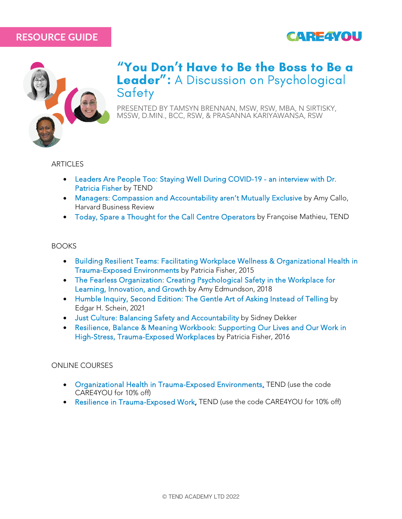



### "You Don't Have to Be the Boss to Be a Leader": A Discussion on Psychological **Safety**

PRESENTED BY TAMSYN BRENNAN, MSW, RSW, MBA, N SIRTISKY, MSSW, D.MIN., BCC, RSW, & PRASANNA KARIYAWANSA, RSW

#### **ARTICLES**

- [Leaders Are People Too: Staying Well During COVID-19 an interview with Dr.](https://www.tendacademy.ca/leaders-are-people-too/) [Patricia Fisher](https://www.tendacademy.ca/leaders-are-people-too/) by TEND
- [Managers: Compassion and Accountability aren't Mutually Exclusive](https://hbr.org/2021/08/managers-compassion-and-accountability-arent-mutually-exclusive) by Amy Callo, Harvard Business Review
- [Today, Spare a Thought for the Call Centre Operators](https://www.tendacademy.ca/spare-a-thought-for-call-centre-operators/) by Françoise Mathieu, TEND

#### **BOOKS**

- [Building Resilient Teams: Facilitating Workplace Wellness & Organizational Health in](https://www.tendacademy.ca/product/e-book-building-resilient-teams/) [Trauma-Exposed Environments](https://www.tendacademy.ca/product/e-book-building-resilient-teams/) by Patricia Fisher, 2015
- [The Fearless Organization: Creating Psychological Safety in the Workplace for](https://fearlessorganization.com/the-fearless-organization) [Learning, Innovation, and Growth](https://fearlessorganization.com/the-fearless-organization) by Amy Edmundson, 2018
- [Humble Inquiry, Second Edition: The Gentle Art of Asking Instead of Telling](https://www.chapters.indigo.ca/en-ca/books/humble-inquiry-second-edition-the/9781523092628-item.html) by Edgar H. Schein, 2021
- [Just Culture: Balancing Safety and Accountability](https://www.cavershambooksellers.com/search/147247578X) by Sidney Dekker
- [Resilience, Balance & Meaning Workbook: Supporting Our Lives and Our Work in](https://www.tendacademy.ca/product/e-book-resilience-balance-meaning-workbook/) [High-Stress, Trauma-Exposed Workplaces](https://www.tendacademy.ca/product/e-book-resilience-balance-meaning-workbook/) by Patricia Fisher, 2016

#### ONLINE COURSES

- [Organizational Health in Trauma-Exposed Environments,](https://www.tendacademy.ca/product/organizational-health-in-trauma-exposed-environments/) TEND (use the code CARE4YOU for 10% off)
- [Resilience in Trauma-Exposed Work,](https://www.tendacademy.ca/product/resilience-in-trauma-exposed-work/) TEND (use the code CARE4YOU for 10% off)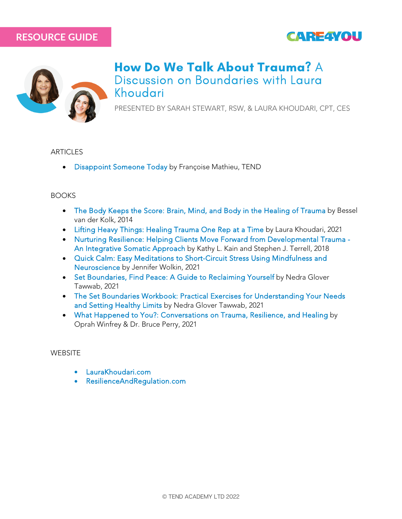



### How Do We Talk About Trauma? A Discussion on Boundaries with Laura Khoudari

PRESENTED BY SARAH STEWART, RSW, & LAURA KHOUDARI, CPT, CES

#### ARTICLES

• [Disappoint Someone Today](https://www.tendacademy.ca/disappoint-someone-today/) by Françoise Mathieu, TEND

#### **BOOKS**

- [The Body Keeps the Score: Brain, Mind, and Body in the Healing of Trauma](https://www.besselvanderkolk.com/resources/the-body-keeps-the-score) by Bessel van der Kolk, 2014
- [Lifting Heavy Things: Healing Trauma One Rep at a Time](https://www.laurakhoudari.com/lifting-heavy-things) by Laura Khoudari, 2021
- [Nurturing Resilience: Helping Clients Move Forward from Developmental Trauma -](https://www.penguinrandomhouse.com/books/562452/nurturing-resilience-by-kathy-l-kain/) [An Integrative Somatic Approach](https://www.penguinrandomhouse.com/books/562452/nurturing-resilience-by-kathy-l-kain/) by Kathy L. Kain and Stephen J. Terrell, 2018
- [Quick Calm: Easy Meditations to Short-Circuit Stress Using Mindfulness and](https://www.quickcalmbook.com/) [Neuroscience](https://www.quickcalmbook.com/) by Jennifer Wolkin, 2021
- [Set Boundaries, Find Peace: A Guide to Reclaiming Yourself](https://www.nedratawwab.com/set-boundaries-find-peace) by Nedra Glover Tawwab, 2021
- [The Set Boundaries Workbook: Practical Exercises for Understanding Your Needs](https://www.nedratawwab.com/set-boundaries-workbook) [and Setting Healthy Limits](https://www.nedratawwab.com/set-boundaries-workbook) by Nedra Glover Tawwab, 2021
- [What Happened to You?: Conversations on Trauma, Resilience, and Healing](https://us.macmillan.com/books/9781250223210/whathappenedtoyou) by Oprah Winfrey & Dr. Bruce Perry, 2021

#### **WEBSITE**

- [LauraKhoudari.com](https://www.laurakhoudari.com/lifting-heavy-things)
- [ResilienceAndRegulation.com](https://www.resilienceandregulation.com/about/)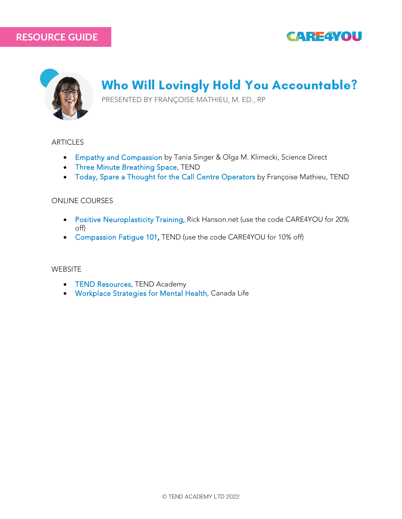



# Who Will Lovingly Hold You Accountable?

PRESENTED BY FRANÇOISE MATHIEU, M. ED., RP

#### **ARTICLES**

- [Empathy and Compassion](https://www.sciencedirect.com/science/article/pii/S0960982214007702) by Tania Singer & Olga M. Klimecki, Science Direct
- [Three Minute Breathing Space,](https://www.tendacademy.ca/wp-content/uploads/2021/05/Three-Minute-Breathing-Space-postcard-TEND-2020.pdf) TEND
- [Today, Spare a Thought for the Call Centre Operators](https://www.tendacademy.ca/spare-a-thought-for-call-centre-operators/) by Françoise Mathieu, TEND

#### ONLINE COURSES

- [Positive Neuroplasticity Training,](https://courses.rickhanson.net/courses/the-positive-neuroplasticity-training) Rick Hanson.net (use the code CARE4YOU for 20% off)
- [Compassion Fatigue 101,](https://www.tendacademy.ca/product/compassion-fatigue-101/) TEND (use the code CARE4YOU for 10% off)

#### **WEBSITE**

- [TEND Resources,](https://www.tendacademy.ca/resources/) TEND Academy
- [Workplace Strategies for Mental Health,](https://www.workplacestrategiesformentalhealth.com/) Canada Life